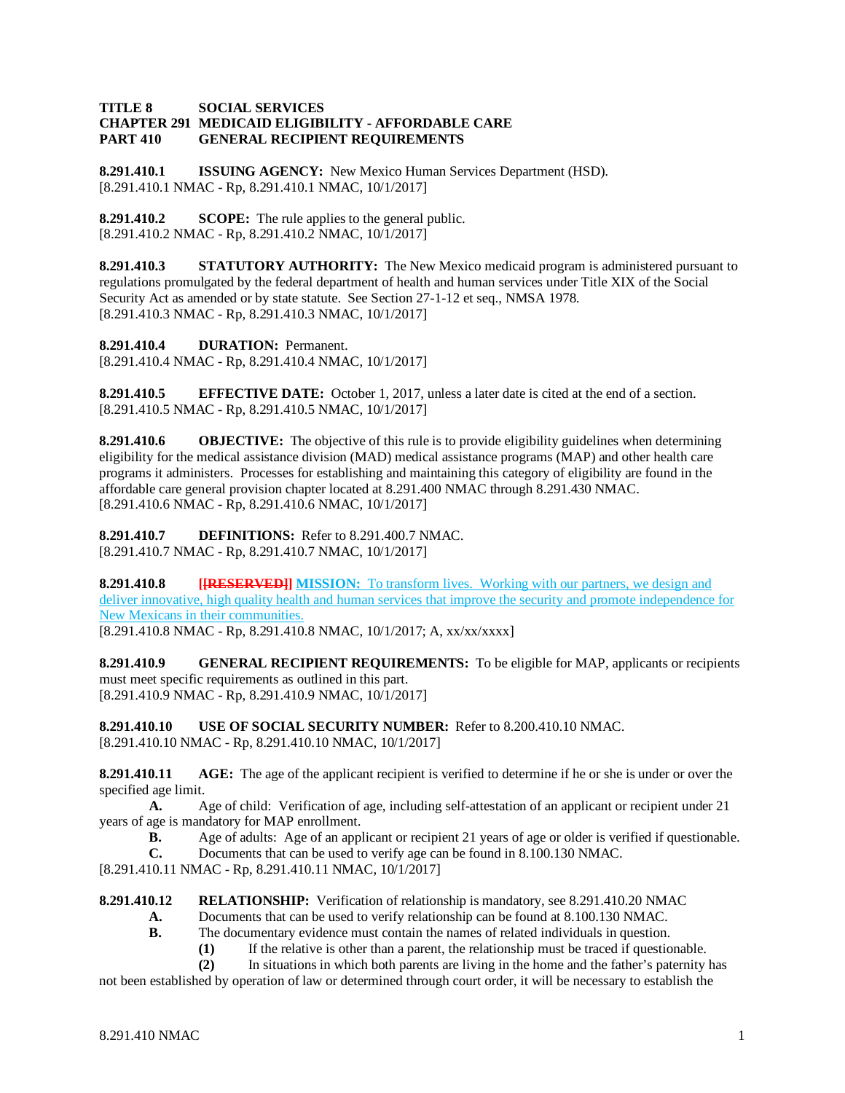### **TITLE 8 SOCIAL SERVICES CHAPTER 291 MEDICAID ELIGIBILITY - AFFORDABLE CARE GENERAL RECIPIENT REQUIREMENTS**

**8.291.410.1 ISSUING AGENCY:** New Mexico Human Services Department (HSD). [8.291.410.1 NMAC - Rp, 8.291.410.1 NMAC, 10/1/2017]

**8.291.410.2 SCOPE:** The rule applies to the general public. [8.291.410.2 NMAC - Rp, 8.291.410.2 NMAC, 10/1/2017]

**8.291.410.3 STATUTORY AUTHORITY:** The New Mexico medicaid program is administered pursuant to regulations promulgated by the federal department of health and human services under Title XIX of the Social Security Act as amended or by state statute. See Section 27-1-12 et seq., NMSA 1978. [8.291.410.3 NMAC - Rp, 8.291.410.3 NMAC, 10/1/2017]

**8.291.410.4 DURATION:** Permanent.

[8.291.410.4 NMAC - Rp, 8.291.410.4 NMAC, 10/1/2017]

**8.291.410.5 EFFECTIVE DATE:** October 1, 2017, unless a later date is cited at the end of a section. [8.291.410.5 NMAC - Rp, 8.291.410.5 NMAC, 10/1/2017]

**8.291.410.6 OBJECTIVE:** The objective of this rule is to provide eligibility guidelines when determining eligibility for the medical assistance division (MAD) medical assistance programs (MAP) and other health care programs it administers. Processes for establishing and maintaining this category of eligibility are found in the affordable care general provision chapter located at 8.291.400 NMAC through 8.291.430 NMAC. [8.291.410.6 NMAC - Rp, 8.291.410.6 NMAC, 10/1/2017]

**8.291.410.7 DEFINITIONS:** Refer to 8.291.400.7 NMAC. [8.291.410.7 NMAC - Rp, 8.291.410.7 NMAC, 10/1/2017]

**8.291.410.8 [[RESERVED]] MISSION:** To transform lives. Working with our partners, we design and deliver innovative, high quality health and human services that improve the security and promote independence for New Mexicans in their communities.

[8.291.410.8 NMAC - Rp, 8.291.410.8 NMAC, 10/1/2017; A, xx/xx/xxxx]

**8.291.410.9 GENERAL RECIPIENT REQUIREMENTS:** To be eligible for MAP, applicants or recipients must meet specific requirements as outlined in this part. [8.291.410.9 NMAC - Rp, 8.291.410.9 NMAC, 10/1/2017]

**8.291.410.10 USE OF SOCIAL SECURITY NUMBER:** Refer to 8.200.410.10 NMAC. [8.291.410.10 NMAC - Rp, 8.291.410.10 NMAC, 10/1/2017]

**8.291.410.11 AGE:** The age of the applicant recipient is verified to determine if he or she is under or over the specified age limit.

**A.** Age of child: Verification of age, including self-attestation of an applicant or recipient under 21 years of age is mandatory for MAP enrollment.

- **B.** Age of adults: Age of an applicant or recipient 21 years of age or older is verified if questionable.
- **C.** Documents that can be used to verify age can be found in 8.100.130 NMAC.

[8.291.410.11 NMAC - Rp, 8.291.410.11 NMAC, 10/1/2017]

**8.291.410.12 RELATIONSHIP:** Verification of relationship is mandatory, see 8.291.410.20 NMAC

- **A.** Documents that can be used to verify relationship can be found at 8.100.130 NMAC.
- **B.** The documentary evidence must contain the names of related individuals in question.
	- **(1)** If the relative is other than a parent, the relationship must be traced if questionable.

**(2)** In situations in which both parents are living in the home and the father's paternity has

not been established by operation of law or determined through court order, it will be necessary to establish the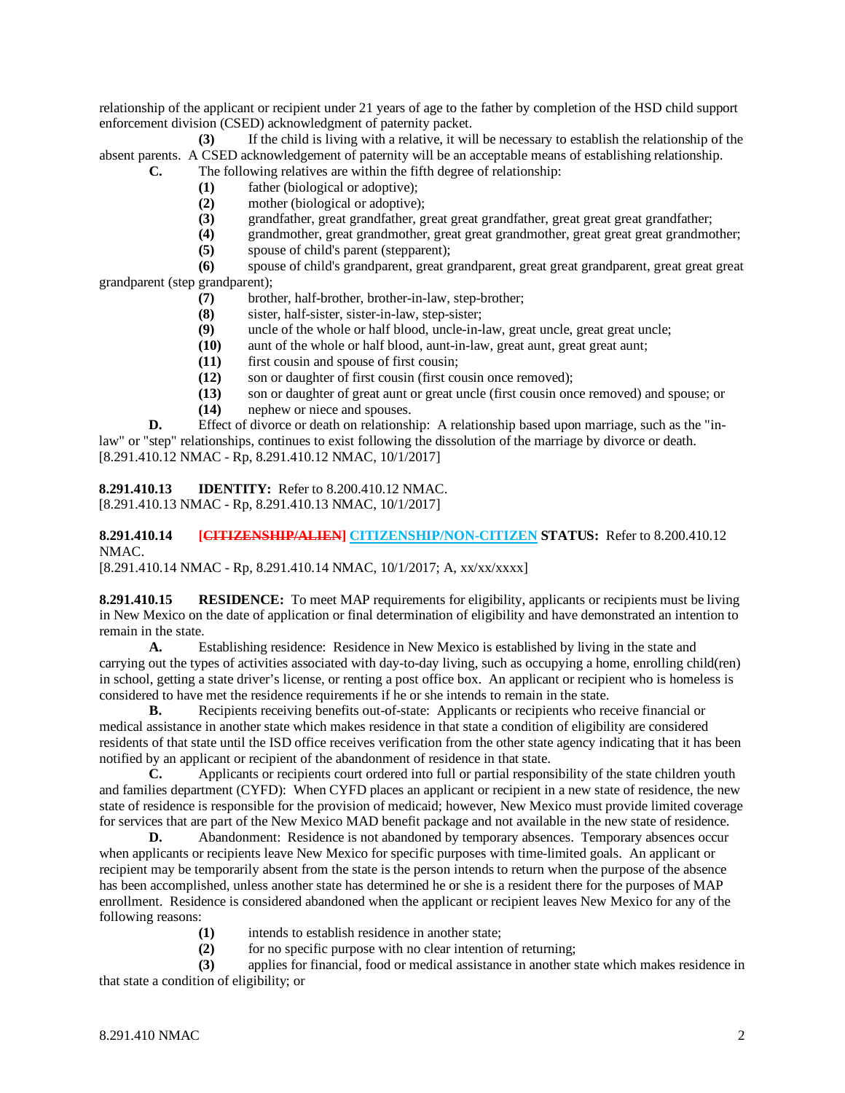relationship of the applicant or recipient under 21 years of age to the father by completion of the HSD child support enforcement division (CSED) acknowledgment of paternity packet.

**(3)** If the child is living with a relative, it will be necessary to establish the relationship of the absent parents. A CSED acknowledgement of paternity will be an acceptable means of establishing relationship. **C.** The following relatives are within the fifth degree of relationship:

- **(1)** father (biological or adoptive);
	- **(2)** mother (biological or adoptive);
- 
- **(3)** grandfather, great grandfather, great great grandfather, great great great grandfather; **(4)** grandmother, great grandmother, great great grandmother, great great great grandmother;
- **(5)** spouse of child's parent (stepparent);

**(6)** spouse of child's grandparent, great grandparent, great great grandparent, great great great grandparent (step grandparent);

- **(7)** brother, half-brother, brother-in-law, step-brother;
- **(8)** sister, half-sister, sister-in-law, step-sister;
- **(9)** uncle of the whole or half blood, uncle-in-law, great uncle, great great uncle;
- **(10)** aunt of the whole or half blood, aunt-in-law, great aunt, great great aunt;
- **(11)** first cousin and spouse of first cousin;
- **(12)** son or daughter of first cousin (first cousin once removed);
- **(13)** son or daughter of great aunt or great uncle (first cousin once removed) and spouse; or
- **(14)** nephew or niece and spouses.

**D.** Effect of divorce or death on relationship: A relationship based upon marriage, such as the "inlaw" or "step" relationships, continues to exist following the dissolution of the marriage by divorce or death. [8.291.410.12 NMAC - Rp, 8.291.410.12 NMAC, 10/1/2017]

**8.291.410.13 IDENTITY:** Refer to 8.200.410.12 NMAC. [8.291.410.13 NMAC - Rp, 8.291.410.13 NMAC, 10/1/2017]

# **8.291.410.14 [CITIZENSHIP/ALIEN] CITIZENSHIP/NON-CITIZEN STATUS:** Refer to 8.200.410.12 NMAC.

[8.291.410.14 NMAC - Rp, 8.291.410.14 NMAC, 10/1/2017; A, xx/xx/xxxx]

**8.291.410.15 RESIDENCE:** To meet MAP requirements for eligibility, applicants or recipients must be living in New Mexico on the date of application or final determination of eligibility and have demonstrated an intention to remain in the state.

**A.** Establishing residence: Residence in New Mexico is established by living in the state and carrying out the types of activities associated with day-to-day living, such as occupying a home, enrolling child(ren) in school, getting a state driver's license, or renting a post office box. An applicant or recipient who is homeless is considered to have met the residence requirements if he or she intends to remain in the state.

**B.** Recipients receiving benefits out-of-state: Applicants or recipients who receive financial or medical assistance in another state which makes residence in that state a condition of eligibility are considered residents of that state until the ISD office receives verification from the other state agency indicating that it has been notified by an applicant or recipient of the abandonment of residence in that state.

**C.** Applicants or recipients court ordered into full or partial responsibility of the state children youth and families department (CYFD): When CYFD places an applicant or recipient in a new state of residence, the new state of residence is responsible for the provision of medicaid; however, New Mexico must provide limited coverage for services that are part of the New Mexico MAD benefit package and not available in the new state of residence.

**D.** Abandonment: Residence is not abandoned by temporary absences. Temporary absences occur when applicants or recipients leave New Mexico for specific purposes with time-limited goals. An applicant or recipient may be temporarily absent from the state is the person intends to return when the purpose of the absence has been accomplished, unless another state has determined he or she is a resident there for the purposes of MAP enrollment. Residence is considered abandoned when the applicant or recipient leaves New Mexico for any of the following reasons:

- **(1)** intends to establish residence in another state;
- **(2)** for no specific purpose with no clear intention of returning;

**(3)** applies for financial, food or medical assistance in another state which makes residence in that state a condition of eligibility; or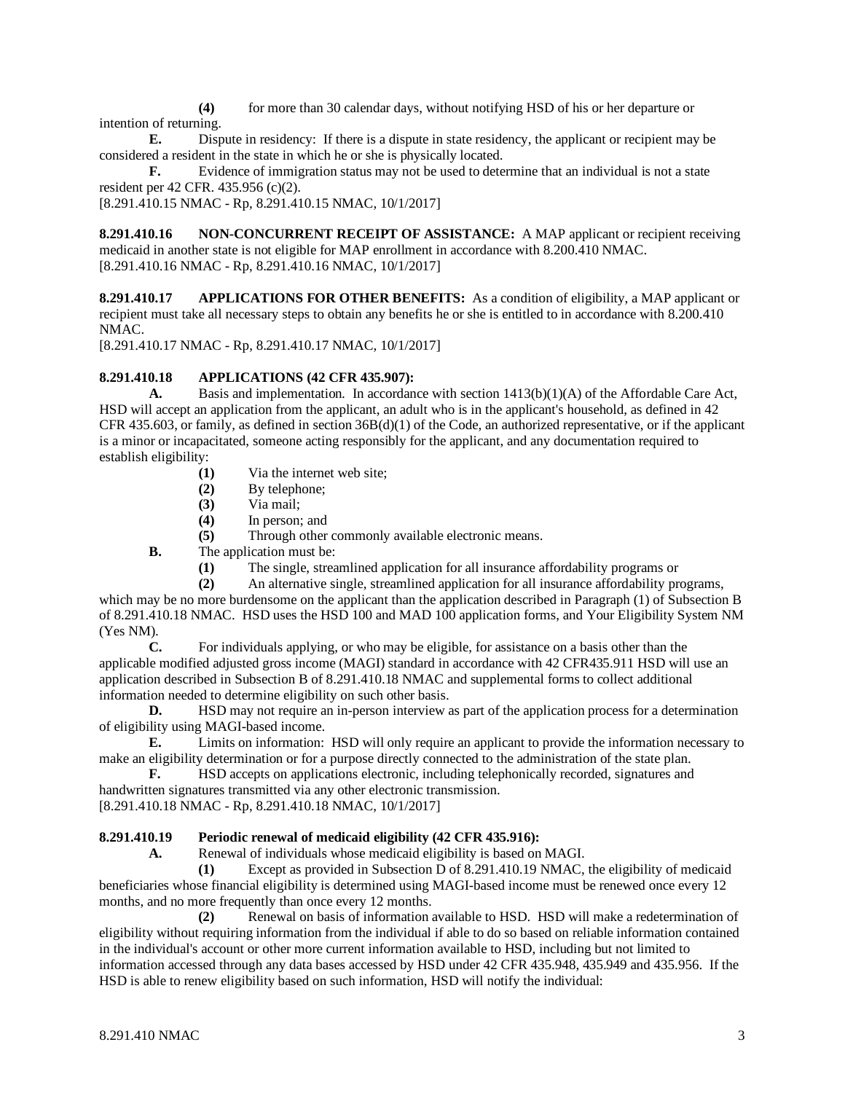**(4)** for more than 30 calendar days, without notifying HSD of his or her departure or intention of returning.

**E.** Dispute in residency: If there is a dispute in state residency, the applicant or recipient may be considered a resident in the state in which he or she is physically located.

**F.** Evidence of immigration status may not be used to determine that an individual is not a state resident per 42 CFR. 435.956 (c)(2).

[8.291.410.15 NMAC - Rp, 8.291.410.15 NMAC, 10/1/2017]

**8.291.410.16 NON-CONCURRENT RECEIPT OF ASSISTANCE:** A MAP applicant or recipient receiving medicaid in another state is not eligible for MAP enrollment in accordance with 8.200.410 NMAC. [8.291.410.16 NMAC - Rp, 8.291.410.16 NMAC, 10/1/2017]

**8.291.410.17 APPLICATIONS FOR OTHER BENEFITS:** As a condition of eligibility, a MAP applicant or recipient must take all necessary steps to obtain any benefits he or she is entitled to in accordance with 8.200.410 NMAC.

[8.291.410.17 NMAC - Rp, 8.291.410.17 NMAC, 10/1/2017]

## **8.291.410.18 APPLICATIONS (42 CFR 435.907):**

**A.** Basis and implementation*.* In accordance with section 1413(b)(1)(A) of the Affordable Care Act, HSD will accept an application from the applicant, an adult who is in the applicant's household, as defined in 42 CFR 435.603, or family, as defined in section 36B(d)(1) of the Code, an authorized representative, or if the applicant is a minor or incapacitated, someone acting responsibly for the applicant, and any documentation required to establish eligibility:

- **(1)** Via the internet web site;
- **(2)** By telephone;
- **(3)** Via mail;
- **(4)** In person; and
- **(5)** Through other commonly available electronic means.

**B.** The application must be:

- (1) The single, streamlined application for all insurance affordability programs or (2) An alternative single, streamlined application for all insurance affordability pro
- **(2)** An alternative single, streamlined application for all insurance affordability programs,

which may be no more burdensome on the applicant than the application described in Paragraph (1) of Subsection B of 8.291.410.18 NMAC. HSD uses the HSD 100 and MAD 100 application forms, and Your Eligibility System NM (Yes NM).

**C.** For individuals applying, or who may be eligible, for assistance on a basis other than the applicable modified adjusted gross income (MAGI) standard in accordance with 42 CFR435.911 HSD will use an application described in Subsection B of 8.291.410.18 NMAC and supplemental forms to collect additional information needed to determine eligibility on such other basis.

**D.** HSD may not require an in-person interview as part of the application process for a determination of eligibility using MAGI-based income.

**E.** Limits on information: HSD will only require an applicant to provide the information necessary to make an eligibility determination or for a purpose directly connected to the administration of the state plan.<br> **F.** HSD accepts on applications electronic, including telephonically recorded, signatures and

**F.** HSD accepts on applications electronic, including telephonically recorded, signatures and handwritten signatures transmitted via any other electronic transmission. [8.291.410.18 NMAC - Rp, 8.291.410.18 NMAC, 10/1/2017]

# **8.291.410.19 Periodic renewal of medicaid eligibility (42 CFR 435.916):**

**A.** Renewal of individuals whose medicaid eligibility is based on MAGI.

**(1)** Except as provided in Subsection D of 8.291.410.19 NMAC, the eligibility of medicaid beneficiaries whose financial eligibility is determined using MAGI-based income must be renewed once every 12 months, and no more frequently than once every 12 months.

**(2)** Renewal on basis of information available to HSD. HSD will make a redetermination of eligibility without requiring information from the individual if able to do so based on reliable information contained in the individual's account or other more current information available to HSD, including but not limited to information accessed through any data bases accessed by HSD under 42 CFR 435.948, 435.949 and 435.956. If the HSD is able to renew eligibility based on such information, HSD will notify the individual: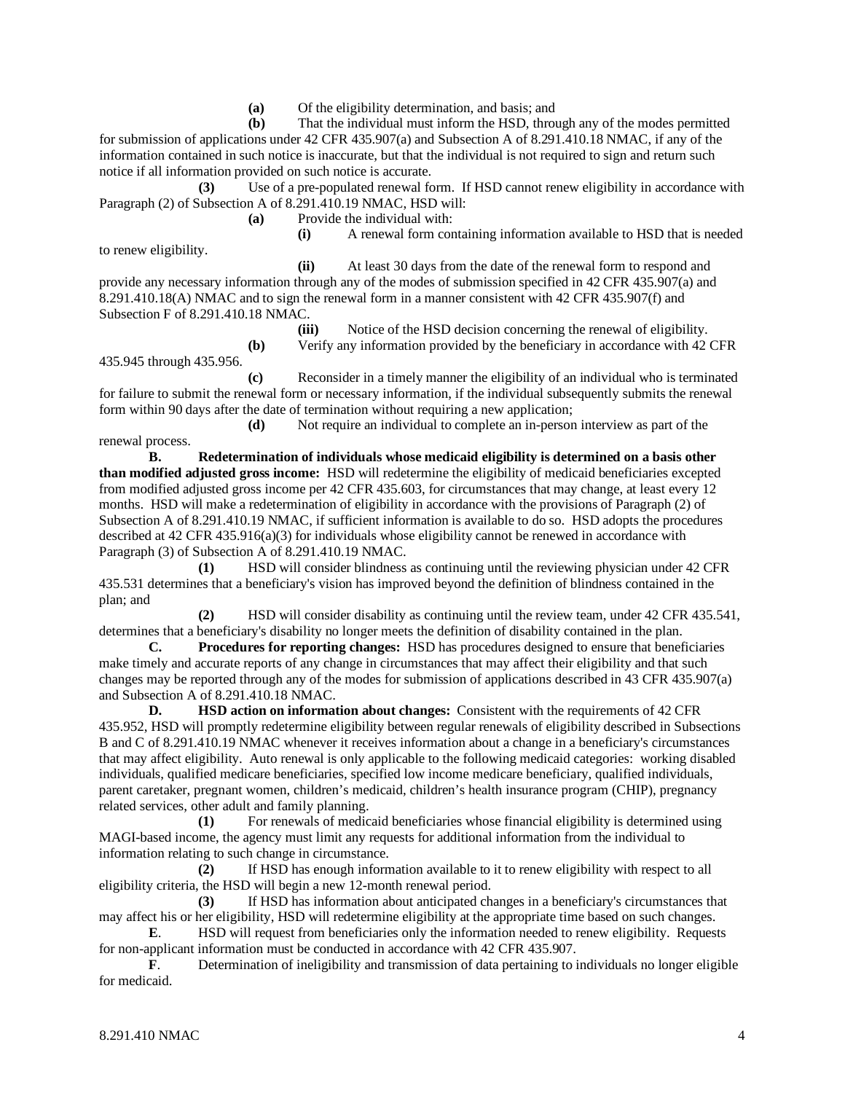**(a)** Of the eligibility determination, and basis; and

**(b)** That the individual must inform the HSD, through any of the modes permitted for submission of applications under 42 CFR 435.907(a) and Subsection A of 8.291.410.18 NMAC, if any of the information contained in such notice is inaccurate, but that the individual is not required to sign and return such notice if all information provided on such notice is accurate.

**(3)** Use of a pre-populated renewal form. If HSD cannot renew eligibility in accordance with Paragraph (2) of Subsection A of 8.291.410.19 NMAC, HSD will:

**(a)** Provide the individual with:

to renew eligibility.

**(i)** A renewal form containing information available to HSD that is needed

**(ii)** At least 30 days from the date of the renewal form to respond and provide any necessary information through any of the modes of submission specified in 42 CFR 435.907(a) and 8.291.410.18(A) NMAC and to sign the renewal form in a manner consistent with 42 CFR 435.907(f) and Subsection F of 8.291.410.18 NMAC.

**(iii)** Notice of the HSD decision concerning the renewal of eligibility. **(b)** Verify any information provided by the beneficiary in accordance with 42 CFR

435.945 through 435.956.

**(c)** Reconsider in a timely manner the eligibility of an individual who is terminated for failure to submit the renewal form or necessary information, if the individual subsequently submits the renewal form within 90 days after the date of termination without requiring a new application;

**(d)** Not require an individual to complete an in-person interview as part of the renewal process.

**B. Redetermination of individuals whose medicaid eligibility is determined on a basis other than modified adjusted gross income:** HSD will redetermine the eligibility of medicaid beneficiaries excepted from modified adjusted gross income per 42 CFR 435.603, for circumstances that may change, at least every 12 months. HSD will make a redetermination of eligibility in accordance with the provisions of Paragraph (2) of Subsection A of 8.291.410.19 NMAC, if sufficient information is available to do so. HSD adopts the procedures described at 42 CFR 435.916(a)(3) for individuals whose eligibility cannot be renewed in accordance with Paragraph (3) of Subsection A of 8.291.410.19 NMAC.

**(1)** HSD will consider blindness as continuing until the reviewing physician under 42 CFR 435.531 determines that a beneficiary's vision has improved beyond the definition of blindness contained in the plan; and

**(2)** HSD will consider disability as continuing until the review team, under 42 CFR 435.541, determines that a beneficiary's disability no longer meets the definition of disability contained in the plan.<br> **C.** Procedures for reporting changes: HSD has procedures designed to ensure that benef

**C. Procedures for reporting changes:** HSD has procedures designed to ensure that beneficiaries make timely and accurate reports of any change in circumstances that may affect their eligibility and that such changes may be reported through any of the modes for submission of applications described in 43 CFR 435.907(a) and Subsection A of 8.291.410.18 NMAC.

**D. HSD** action on information about changes: Consistent with the requirements of 42 CFR 435.952, HSD will promptly redetermine eligibility between regular renewals of eligibility described in Subsections B and C of 8.291.410.19 NMAC whenever it receives information about a change in a beneficiary's circumstances that may affect eligibility. Auto renewal is only applicable to the following medicaid categories: working disabled individuals, qualified medicare beneficiaries, specified low income medicare beneficiary, qualified individuals, parent caretaker, pregnant women, children's medicaid, children's health insurance program (CHIP), pregnancy related services, other adult and family planning.

**(1)** For renewals of medicaid beneficiaries whose financial eligibility is determined using MAGI-based income, the agency must limit any requests for additional information from the individual to information relating to such change in circumstance.

**(2)** If HSD has enough information available to it to renew eligibility with respect to all eligibility criteria, the HSD will begin a new 12-month renewal period.

**(3)** If HSD has information about anticipated changes in a beneficiary's circumstances that may affect his or her eligibility, HSD will redetermine eligibility at the appropriate time based on such changes.

**E.** HSD will request from beneficiaries only the information needed to renew eligibility. Requests for non-applicant information must be conducted in accordance with 42 CFR 435.907.

**F**. Determination of ineligibility and transmission of data pertaining to individuals no longer eligible for medicaid.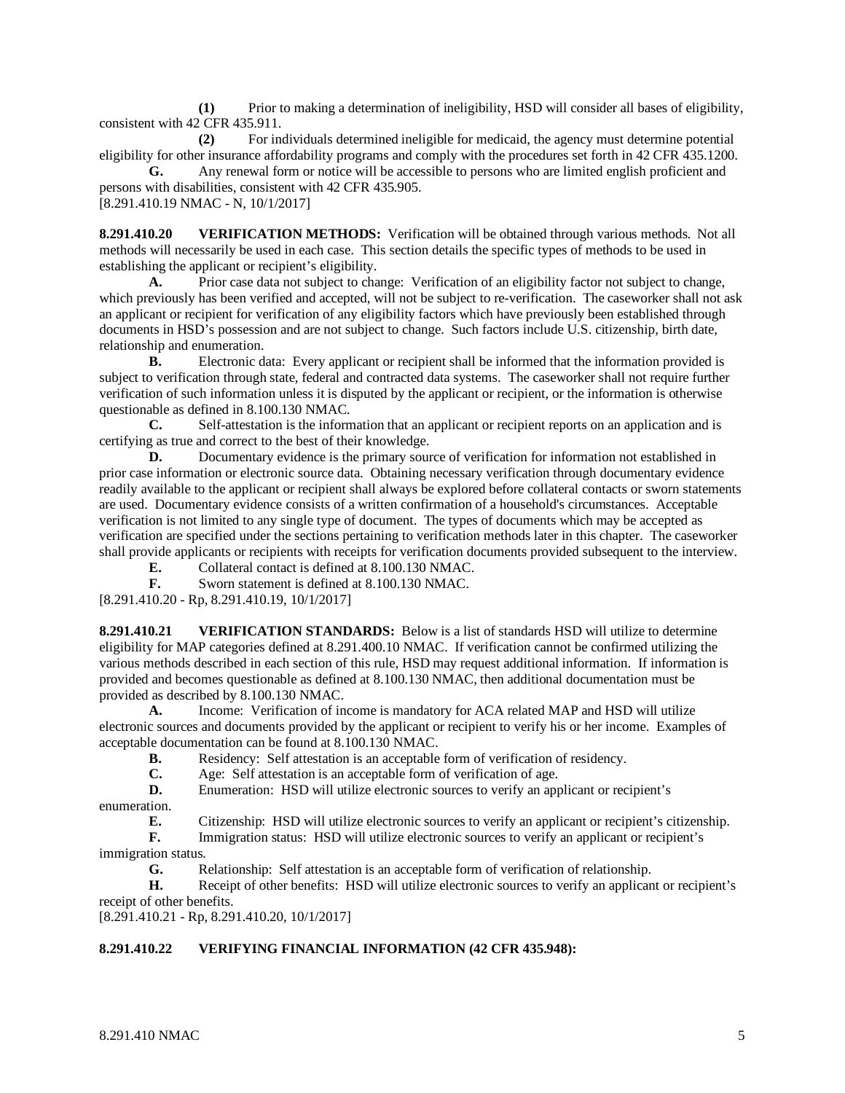**(1)** Prior to making a determination of ineligibility, HSD will consider all bases of eligibility, consistent with 42 CFR 435.911.

**(2)** For individuals determined ineligible for medicaid, the agency must determine potential eligibility for other insurance affordability programs and comply with the procedures set forth in 42 CFR 435.1200.

**G.** Any renewal form or notice will be accessible to persons who are limited english proficient and persons with disabilities, consistent with 42 CFR 435.905. [8.291.410.19 NMAC - N, 10/1/2017]

**8.291.410.20 VERIFICATION METHODS:** Verification will be obtained through various methods. Not all methods will necessarily be used in each case. This section details the specific types of methods to be used in establishing the applicant or recipient's eligibility.

**A.** Prior case data not subject to change: Verification of an eligibility factor not subject to change, which previously has been verified and accepted, will not be subject to re-verification. The caseworker shall not ask an applicant or recipient for verification of any eligibility factors which have previously been established through documents in HSD's possession and are not subject to change. Such factors include U.S. citizenship, birth date, relationship and enumeration.

**B.** Electronic data: Every applicant or recipient shall be informed that the information provided is subject to verification through state, federal and contracted data systems. The caseworker shall not require further verification of such information unless it is disputed by the applicant or recipient, or the information is otherwise questionable as defined in 8.100.130 NMAC.

**C.** Self-attestation is the information that an applicant or recipient reports on an application and is certifying as true and correct to the best of their knowledge.

**D.** Documentary evidence is the primary source of verification for information not established in prior case information or electronic source data. Obtaining necessary verification through documentary evidence readily available to the applicant or recipient shall always be explored before collateral contacts or sworn statements are used. Documentary evidence consists of a written confirmation of a household's circumstances. Acceptable verification is not limited to any single type of document. The types of documents which may be accepted as verification are specified under the sections pertaining to verification methods later in this chapter. The caseworker shall provide applicants or recipients with receipts for verification documents provided subsequent to the interview.

**E.** Collateral contact is defined at 8.100.130 NMAC.<br>**F.** Sworn statement is defined at 8.100.130 NMAC.

**F.** Sworn statement is defined at 8.100.130 NMAC.

[8.291.410.20 - Rp, 8.291.410.19, 10/1/2017]

**8.291.410.21 VERIFICATION STANDARDS:** Below is a list of standards HSD will utilize to determine eligibility for MAP categories defined at 8.291.400.10 NMAC. If verification cannot be confirmed utilizing the various methods described in each section of this rule, HSD may request additional information. If information is provided and becomes questionable as defined at 8.100.130 NMAC, then additional documentation must be provided as described by 8.100.130 NMAC.

**A.** Income: Verification of income is mandatory for ACA related MAP and HSD will utilize electronic sources and documents provided by the applicant or recipient to verify his or her income. Examples of acceptable documentation can be found at 8.100.130 NMAC.<br> **B.** Residency: Self attestation is an acceptable

**B.** Residency: Self attestation is an acceptable form of verification of residency.<br> **C.** Age: Self attestation is an acceptable form of verification of age.

Age: Self attestation is an acceptable form of verification of age.

**D.** Enumeration: HSD will utilize electronic sources to verify an applicant or recipient's enumeration.<br> **F** 

**E.** Citizenship: HSD will utilize electronic sources to verify an applicant or recipient's citizenship.<br> **F.** Immigration status: HSD will utilize electronic sources to verify an applicant or recipient's

**F.** Immigration status: HSD will utilize electronic sources to verify an applicant or recipient's immigration status.<br> **G.** R

**G.** Relationship: Self attestation is an acceptable form of verification of relationship.

**H.** Receipt of other benefits: HSD will utilize electronic sources to verify an applicant or recipient's receipt of other benefits.

[8.291.410.21 - Rp, 8.291.410.20, 10/1/2017]

# **8.291.410.22 VERIFYING FINANCIAL INFORMATION (42 CFR 435.948):**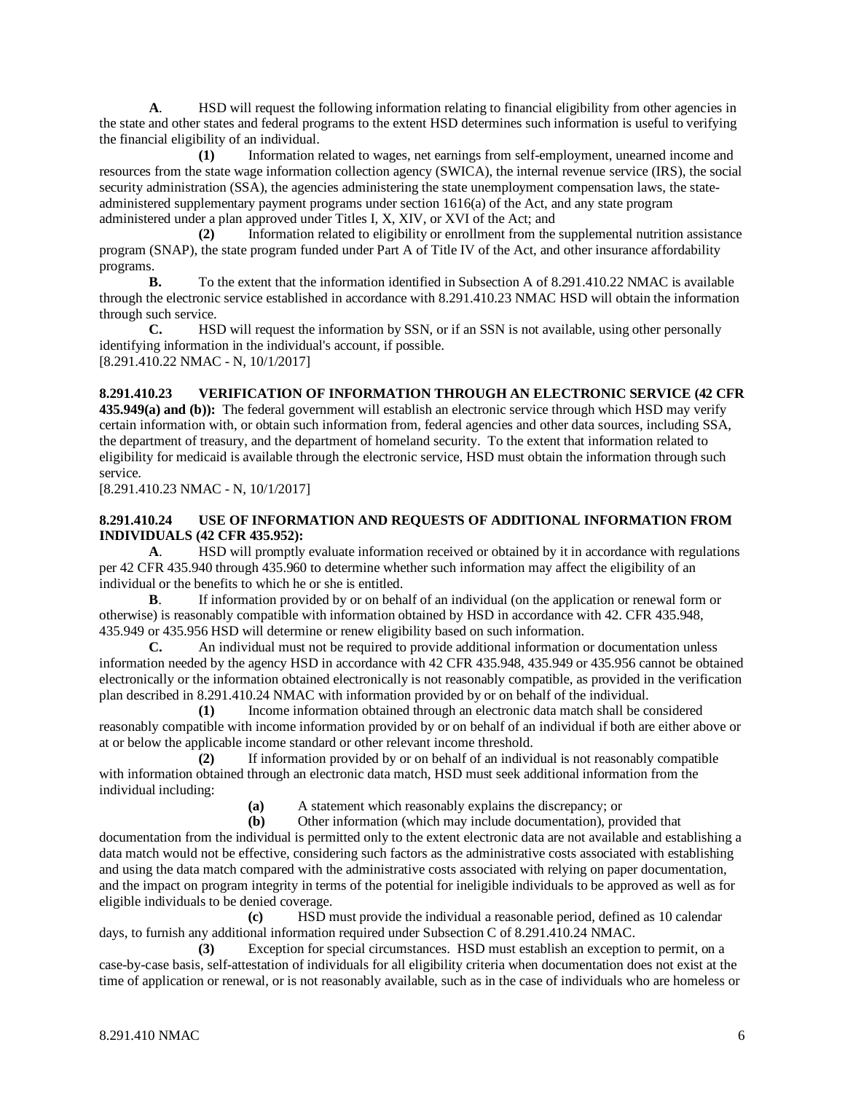**A**. HSD will request the following information relating to financial eligibility from other agencies in the state and other states and federal programs to the extent HSD determines such information is useful to verifying the financial eligibility of an individual.

**(1)** Information related to wages, net earnings from self-employment, unearned income and resources from the state wage information collection agency (SWICA), the internal revenue service (IRS), the social security administration (SSA), the agencies administering the state unemployment compensation laws, the stateadministered supplementary payment programs under section 1616(a) of the Act, and any state program administered under a plan approved under Titles I, X, XIV, or XVI of the Act; and

**(2)** Information related to eligibility or enrollment from the supplemental nutrition assistance program (SNAP), the state program funded under Part A of Title IV of the Act, and other insurance affordability programs.

**B.** To the extent that the information identified in Subsection A of 8.291.410.22 NMAC is available through the electronic service established in accordance with 8.291.410.23 NMAC HSD will obtain the information through such service.<br> **C.** HSI

HSD will request the information by SSN, or if an SSN is not available, using other personally identifying information in the individual's account, if possible. [8.291.410.22 NMAC - N, 10/1/2017]

## **8.291.410.23 VERIFICATION OF INFORMATION THROUGH AN ELECTRONIC SERVICE (42 CFR**

**435.949(a) and (b)):** The federal government will establish an electronic service through which HSD may verify certain information with, or obtain such information from, federal agencies and other data sources, including SSA, the department of treasury, and the department of homeland security. To the extent that information related to eligibility for medicaid is available through the electronic service, HSD must obtain the information through such service.

[8.291.410.23 NMAC - N, 10/1/2017]

## **8.291.410.24 USE OF INFORMATION AND REQUESTS OF ADDITIONAL INFORMATION FROM INDIVIDUALS (42 CFR 435.952):**

**A**. HSD will promptly evaluate information received or obtained by it in accordance with regulations per 42 CFR 435.940 through 435.960 to determine whether such information may affect the eligibility of an individual or the benefits to which he or she is entitled.

**B**. If information provided by or on behalf of an individual (on the application or renewal form or otherwise) is reasonably compatible with information obtained by HSD in accordance with 42. CFR 435.948, 435.949 or 435.956 HSD will determine or renew eligibility based on such information.

**C.** An individual must not be required to provide additional information or documentation unless information needed by the agency HSD in accordance with 42 CFR 435.948, 435.949 or 435.956 cannot be obtained electronically or the information obtained electronically is not reasonably compatible, as provided in the verification plan described in 8.291.410.24 NMAC with information provided by or on behalf of the individual.

**(1)** Income information obtained through an electronic data match shall be considered reasonably compatible with income information provided by or on behalf of an individual if both are either above or at or below the applicable income standard or other relevant income threshold.

**(2)** If information provided by or on behalf of an individual is not reasonably compatible with information obtained through an electronic data match, HSD must seek additional information from the individual including:

**(a)** A statement which reasonably explains the discrepancy; or **(b)** Other information (which may include documentation), pro

**(b)** Other information (which may include documentation), provided that

documentation from the individual is permitted only to the extent electronic data are not available and establishing a data match would not be effective, considering such factors as the administrative costs associated with establishing and using the data match compared with the administrative costs associated with relying on paper documentation, and the impact on program integrity in terms of the potential for ineligible individuals to be approved as well as for eligible individuals to be denied coverage.

**(c)** HSD must provide the individual a reasonable period, defined as 10 calendar days, to furnish any additional information required under Subsection C of 8.291.410.24 NMAC.

**(3)** Exception for special circumstances. HSD must establish an exception to permit, on a case-by-case basis, self-attestation of individuals for all eligibility criteria when documentation does not exist at the time of application or renewal, or is not reasonably available, such as in the case of individuals who are homeless or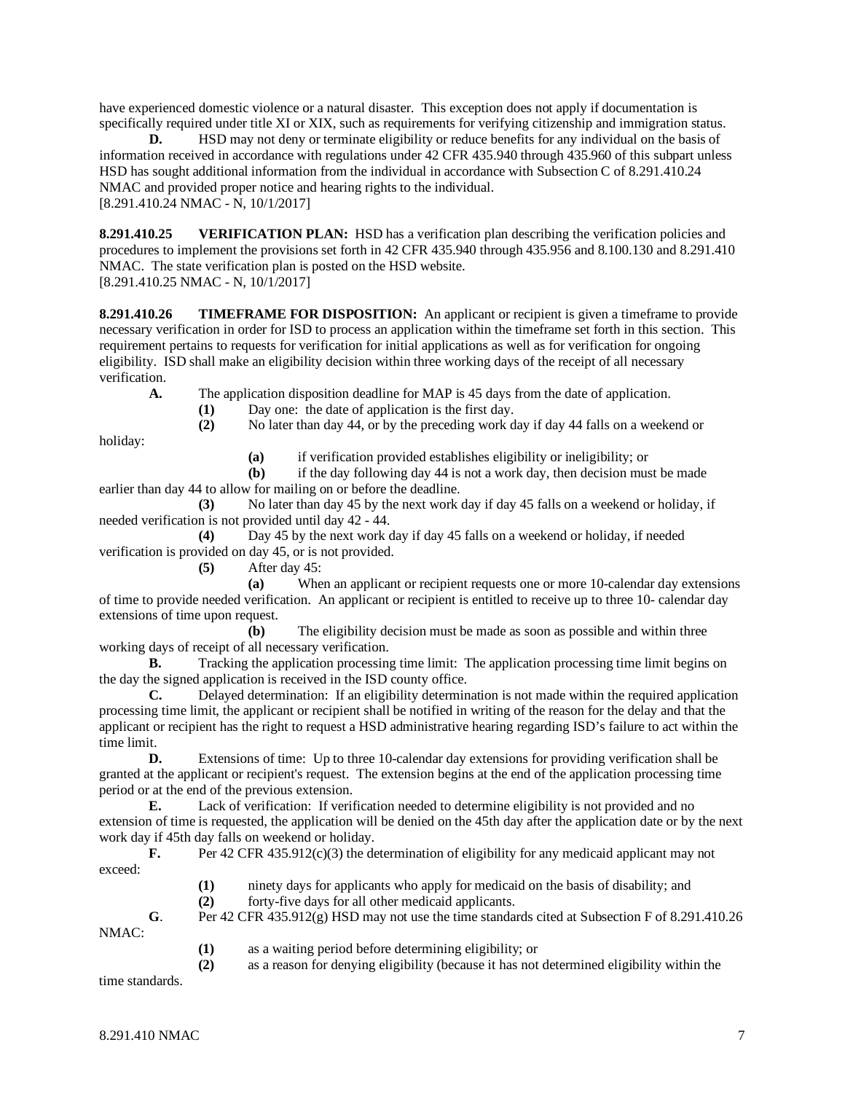have experienced domestic violence or a natural disaster. This exception does not apply if documentation is specifically required under title XI or XIX, such as requirements for verifying citizenship and immigration status.

**D.** HSD may not deny or terminate eligibility or reduce benefits for any individual on the basis of information received in accordance with regulations under 42 CFR 435.940 through 435.960 of this subpart unless HSD has sought additional information from the individual in accordance with Subsection C of 8.291.410.24 NMAC and provided proper notice and hearing rights to the individual. [8.291.410.24 NMAC - N, 10/1/2017]

**8.291.410.25 VERIFICATION PLAN:** HSD has a verification plan describing the verification policies and procedures to implement the provisions set forth in 42 CFR 435.940 through 435.956 and 8.100.130 and 8.291.410 NMAC. The state verification plan is posted on the HSD website.

[8.291.410.25 NMAC - N, 10/1/2017]

**8.291.410.26 TIMEFRAME FOR DISPOSITION:** An applicant or recipient is given a timeframe to provide necessary verification in order for ISD to process an application within the timeframe set forth in this section. This requirement pertains to requests for verification for initial applications as well as for verification for ongoing eligibility. ISD shall make an eligibility decision within three working days of the receipt of all necessary verification.

**A.** The application disposition deadline for MAP is 45 days from the date of application.

(1) Day one: the date of application is the first day.<br>
(2) No later than day 44, or by the preceding work d

**(2)** No later than day 44, or by the preceding work day if day 44 falls on a weekend or

holiday:

**(a)** if verification provided establishes eligibility or ineligibility; or

**(b)** if the day following day 44 is not a work day, then decision must be made earlier than day 44 to allow for mailing on or before the deadline.

**(3)** No later than day 45 by the next work day if day 45 falls on a weekend or holiday, if needed verification is not provided until day 42 - 44.

**(4)** Day 45 by the next work day if day 45 falls on a weekend or holiday, if needed verification is provided on day 45, or is not provided.

**(5)** After day 45:

**(a)** When an applicant or recipient requests one or more 10-calendar day extensions of time to provide needed verification. An applicant or recipient is entitled to receive up to three 10- calendar day extensions of time upon request.

**(b)** The eligibility decision must be made as soon as possible and within three working days of receipt of all necessary verification.

**B.** Tracking the application processing time limit: The application processing time limit begins on the day the signed application is received in the ISD county office.

**C.** Delayed determination: If an eligibility determination is not made within the required application processing time limit, the applicant or recipient shall be notified in writing of the reason for the delay and that the applicant or recipient has the right to request a HSD administrative hearing regarding ISD's failure to act within the time limit.<br> $\mathbf{D}$ .

**D.** Extensions of time: Up to three 10-calendar day extensions for providing verification shall be granted at the applicant or recipient's request. The extension begins at the end of the application processing time period or at the end of the previous extension.

**E.** Lack of verification: If verification needed to determine eligibility is not provided and no extension of time is requested, the application will be denied on the 45th day after the application date or by the next work day if 45th day falls on weekend or holiday.

**F.** Per 42 CFR 435.912(c)(3) the determination of eligibility for any medicaid applicant may not exceed:

- **(1)** ninety days for applicants who apply for medicaid on the basis of disability; and
- **(2)** forty-five days for all other medicaid applicants.

**G**. Per 42 CFR 435.912(g) HSD may not use the time standards cited at Subsection F of 8.291.410.26 NMAC:

**(1)** as a waiting period before determining eligibility; or

**(2)** as a reason for denying eligibility (because it has not determined eligibility within the

time standards.